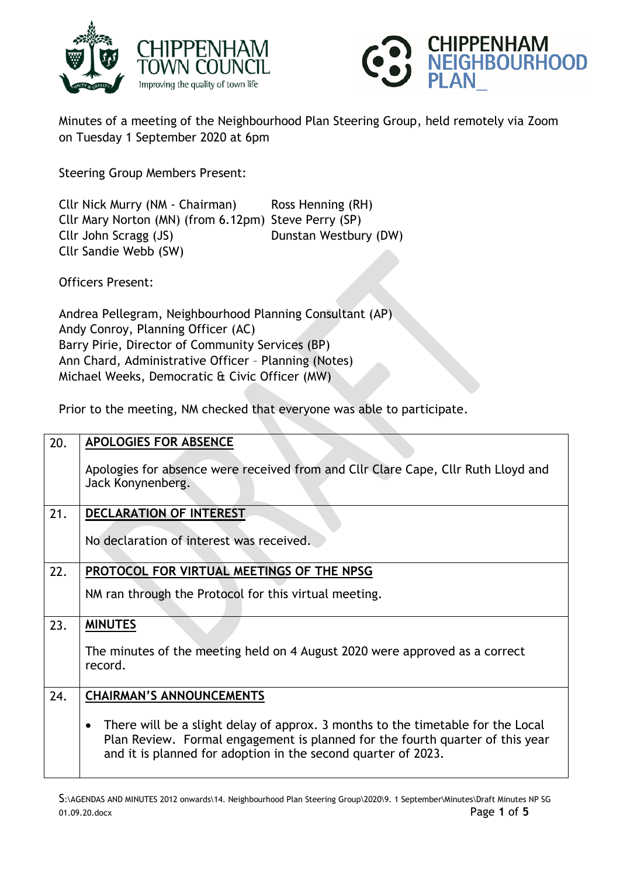



Minutes of a meeting of the Neighbourhood Plan Steering Group, held remotely via Zoom on Tuesday 1 September 2020 at 6pm

Steering Group Members Present:

Cllr Nick Murry (NM - Chairman) Ross Henning (RH) Cllr Mary Norton (MN) (from 6.12pm) Steve Perry (SP) Cllr John Scragg (JS) Dunstan Westbury (DW) Cllr Sandie Webb (SW)

Officers Present:

Andrea Pellegram, Neighbourhood Planning Consultant (AP) Andy Conroy, Planning Officer (AC) Barry Pirie, Director of Community Services (BP) Ann Chard, Administrative Officer – Planning (Notes) Michael Weeks, Democratic & Civic Officer (MW)

Prior to the meeting, NM checked that everyone was able to participate.

| 20. | <b>APOLOGIES FOR ABSENCE</b>                                                                                                                                                                                                                   |
|-----|------------------------------------------------------------------------------------------------------------------------------------------------------------------------------------------------------------------------------------------------|
|     | Apologies for absence were received from and Cllr Clare Cape, Cllr Ruth Lloyd and<br>Jack Konynenberg.                                                                                                                                         |
| 21. | <b>DECLARATION OF INTEREST</b>                                                                                                                                                                                                                 |
|     | No declaration of interest was received.                                                                                                                                                                                                       |
| 22. | PROTOCOL FOR VIRTUAL MEETINGS OF THE NPSG                                                                                                                                                                                                      |
|     | NM ran through the Protocol for this virtual meeting.                                                                                                                                                                                          |
| 23. | <b>MINUTES</b>                                                                                                                                                                                                                                 |
|     | The minutes of the meeting held on 4 August 2020 were approved as a correct<br>record.                                                                                                                                                         |
| 24. | <b>CHAIRMAN'S ANNOUNCEMENTS</b>                                                                                                                                                                                                                |
|     | There will be a slight delay of approx. 3 months to the timetable for the Local<br>$\bullet$<br>Plan Review. Formal engagement is planned for the fourth quarter of this year<br>and it is planned for adoption in the second quarter of 2023. |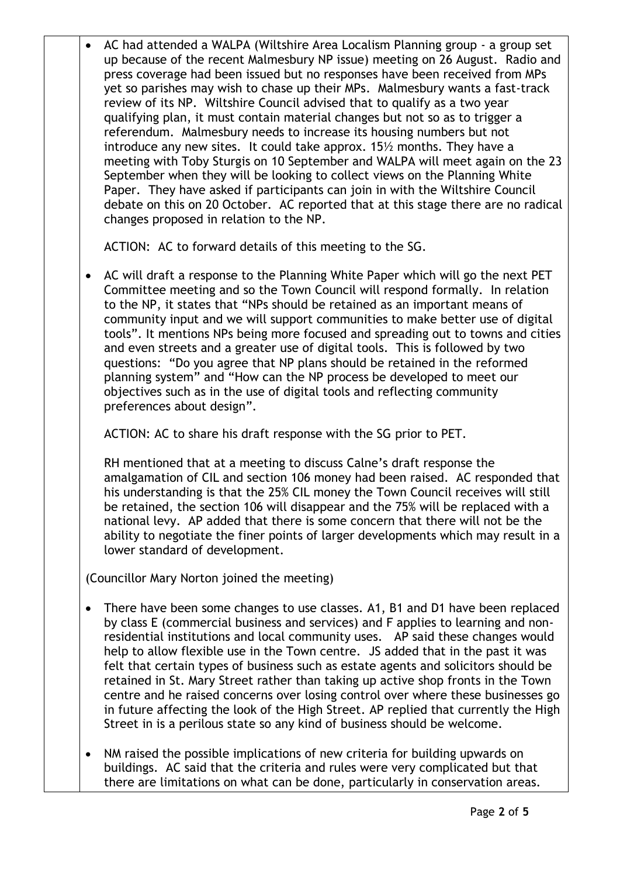• AC had attended a WALPA (Wiltshire Area Localism Planning group - a group set up because of the recent Malmesbury NP issue) meeting on 26 August. Radio and press coverage had been issued but no responses have been received from MPs yet so parishes may wish to chase up their MPs. Malmesbury wants a fast-track review of its NP. Wiltshire Council advised that to qualify as a two year qualifying plan, it must contain material changes but not so as to trigger a referendum. Malmesbury needs to increase its housing numbers but not introduce any new sites. It could take approx. 15½ months. They have a meeting with Toby Sturgis on 10 September and WALPA will meet again on the 23 September when they will be looking to collect views on the Planning White Paper. They have asked if participants can join in with the Wiltshire Council debate on this on 20 October. AC reported that at this stage there are no radical changes proposed in relation to the NP.

ACTION: AC to forward details of this meeting to the SG.

 AC will draft a response to the Planning White Paper which will go the next PET Committee meeting and so the Town Council will respond formally. In relation to the NP, it states that "NPs should be retained as an important means of community input and we will support communities to make better use of digital tools". It mentions NPs being more focused and spreading out to towns and cities and even streets and a greater use of digital tools. This is followed by two questions: "Do you agree that NP plans should be retained in the reformed planning system" and "How can the NP process be developed to meet our objectives such as in the use of digital tools and reflecting community preferences about design".

ACTION: AC to share his draft response with the SG prior to PET.

RH mentioned that at a meeting to discuss Calne's draft response the amalgamation of CIL and section 106 money had been raised. AC responded that his understanding is that the 25% CIL money the Town Council receives will still be retained, the section 106 will disappear and the 75% will be replaced with a national levy. AP added that there is some concern that there will not be the ability to negotiate the finer points of larger developments which may result in a lower standard of development.

(Councillor Mary Norton joined the meeting)

- There have been some changes to use classes. A1, B1 and D1 have been replaced by class E (commercial business and services) and F applies to learning and nonresidential institutions and local community uses. AP said these changes would help to allow flexible use in the Town centre. JS added that in the past it was felt that certain types of business such as estate agents and solicitors should be retained in St. Mary Street rather than taking up active shop fronts in the Town centre and he raised concerns over losing control over where these businesses go in future affecting the look of the High Street. AP replied that currently the High Street in is a perilous state so any kind of business should be welcome.
- NM raised the possible implications of new criteria for building upwards on buildings. AC said that the criteria and rules were very complicated but that there are limitations on what can be done, particularly in conservation areas.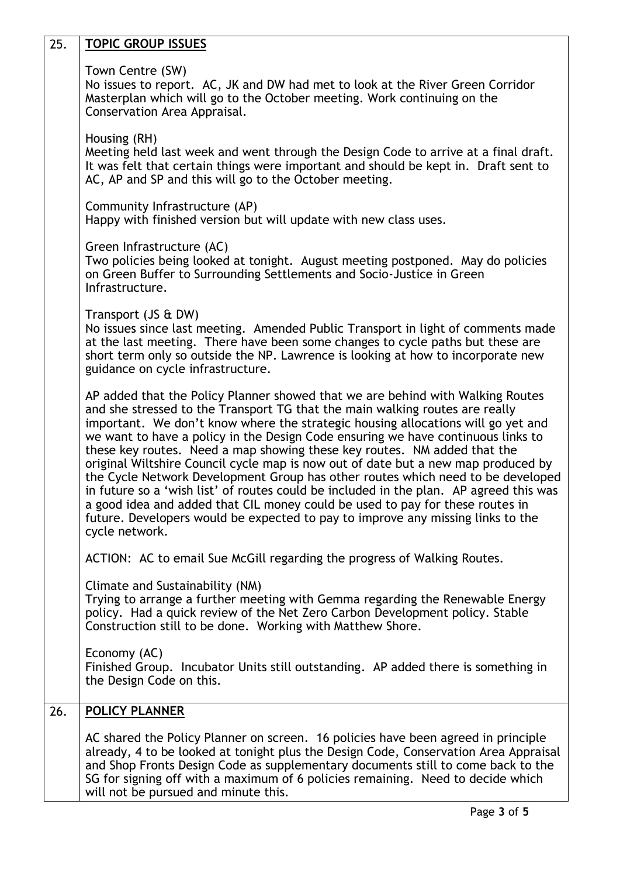| 25. | <b>TOPIC GROUP ISSUES</b>                                                                                                                                                                                                                                                                                                                                                                                                                                                                                                                                                                                                                                                                                                                                                                                                                                                  |
|-----|----------------------------------------------------------------------------------------------------------------------------------------------------------------------------------------------------------------------------------------------------------------------------------------------------------------------------------------------------------------------------------------------------------------------------------------------------------------------------------------------------------------------------------------------------------------------------------------------------------------------------------------------------------------------------------------------------------------------------------------------------------------------------------------------------------------------------------------------------------------------------|
|     | Town Centre (SW)<br>No issues to report. AC, JK and DW had met to look at the River Green Corridor<br>Masterplan which will go to the October meeting. Work continuing on the<br>Conservation Area Appraisal.                                                                                                                                                                                                                                                                                                                                                                                                                                                                                                                                                                                                                                                              |
|     | Housing (RH)<br>Meeting held last week and went through the Design Code to arrive at a final draft.<br>It was felt that certain things were important and should be kept in. Draft sent to<br>AC, AP and SP and this will go to the October meeting.                                                                                                                                                                                                                                                                                                                                                                                                                                                                                                                                                                                                                       |
|     | Community Infrastructure (AP)<br>Happy with finished version but will update with new class uses.                                                                                                                                                                                                                                                                                                                                                                                                                                                                                                                                                                                                                                                                                                                                                                          |
|     | Green Infrastructure (AC)<br>Two policies being looked at tonight. August meeting postponed. May do policies<br>on Green Buffer to Surrounding Settlements and Socio-Justice in Green<br>Infrastructure.                                                                                                                                                                                                                                                                                                                                                                                                                                                                                                                                                                                                                                                                   |
|     | Transport (JS & DW)<br>No issues since last meeting. Amended Public Transport in light of comments made<br>at the last meeting. There have been some changes to cycle paths but these are<br>short term only so outside the NP. Lawrence is looking at how to incorporate new<br>guidance on cycle infrastructure.                                                                                                                                                                                                                                                                                                                                                                                                                                                                                                                                                         |
|     | AP added that the Policy Planner showed that we are behind with Walking Routes<br>and she stressed to the Transport TG that the main walking routes are really<br>important. We don't know where the strategic housing allocations will go yet and<br>we want to have a policy in the Design Code ensuring we have continuous links to<br>these key routes. Need a map showing these key routes. NM added that the<br>original Wiltshire Council cycle map is now out of date but a new map produced by<br>the Cycle Network Development Group has other routes which need to be developed<br>in future so a 'wish list' of routes could be included in the plan. AP agreed this was<br>a good idea and added that CIL money could be used to pay for these routes in<br>future. Developers would be expected to pay to improve any missing links to the<br>cycle network. |
|     | ACTION: AC to email Sue McGill regarding the progress of Walking Routes.                                                                                                                                                                                                                                                                                                                                                                                                                                                                                                                                                                                                                                                                                                                                                                                                   |
|     | Climate and Sustainability (NM)<br>Trying to arrange a further meeting with Gemma regarding the Renewable Energy<br>policy. Had a quick review of the Net Zero Carbon Development policy. Stable<br>Construction still to be done. Working with Matthew Shore.                                                                                                                                                                                                                                                                                                                                                                                                                                                                                                                                                                                                             |
|     | Economy (AC)<br>Finished Group. Incubator Units still outstanding. AP added there is something in<br>the Design Code on this.                                                                                                                                                                                                                                                                                                                                                                                                                                                                                                                                                                                                                                                                                                                                              |
| 26. | <b>POLICY PLANNER</b>                                                                                                                                                                                                                                                                                                                                                                                                                                                                                                                                                                                                                                                                                                                                                                                                                                                      |
|     | AC shared the Policy Planner on screen. 16 policies have been agreed in principle<br>already, 4 to be looked at tonight plus the Design Code, Conservation Area Appraisal<br>and Shop Fronts Design Code as supplementary documents still to come back to the<br>SG for signing off with a maximum of 6 policies remaining. Need to decide which<br>will not be pursued and minute this.                                                                                                                                                                                                                                                                                                                                                                                                                                                                                   |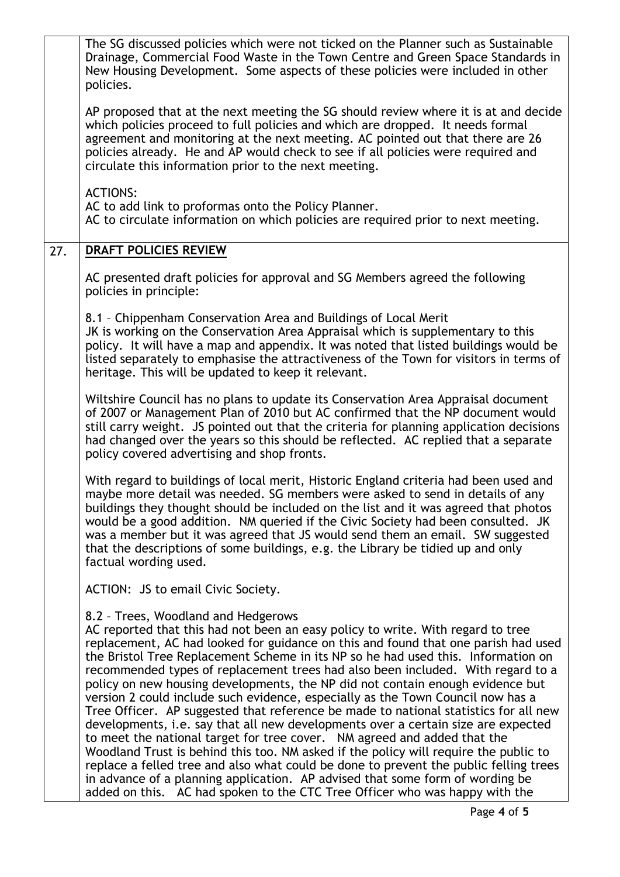|     | The SG discussed policies which were not ticked on the Planner such as Sustainable<br>Drainage, Commercial Food Waste in the Town Centre and Green Space Standards in<br>New Housing Development. Some aspects of these policies were included in other<br>policies.                                                                                                                                                                                                                                                                                                                                                                                                                                                                                                                                                                                                                                                                                                                                |
|-----|-----------------------------------------------------------------------------------------------------------------------------------------------------------------------------------------------------------------------------------------------------------------------------------------------------------------------------------------------------------------------------------------------------------------------------------------------------------------------------------------------------------------------------------------------------------------------------------------------------------------------------------------------------------------------------------------------------------------------------------------------------------------------------------------------------------------------------------------------------------------------------------------------------------------------------------------------------------------------------------------------------|
|     | AP proposed that at the next meeting the SG should review where it is at and decide<br>which policies proceed to full policies and which are dropped. It needs formal<br>agreement and monitoring at the next meeting. AC pointed out that there are 26<br>policies already. He and AP would check to see if all policies were required and<br>circulate this information prior to the next meeting.                                                                                                                                                                                                                                                                                                                                                                                                                                                                                                                                                                                                |
|     | <b>ACTIONS:</b><br>AC to add link to proformas onto the Policy Planner.<br>AC to circulate information on which policies are required prior to next meeting.                                                                                                                                                                                                                                                                                                                                                                                                                                                                                                                                                                                                                                                                                                                                                                                                                                        |
| 27. | <b>DRAFT POLICIES REVIEW</b>                                                                                                                                                                                                                                                                                                                                                                                                                                                                                                                                                                                                                                                                                                                                                                                                                                                                                                                                                                        |
|     | AC presented draft policies for approval and SG Members agreed the following<br>policies in principle:                                                                                                                                                                                                                                                                                                                                                                                                                                                                                                                                                                                                                                                                                                                                                                                                                                                                                              |
|     | 8.1 - Chippenham Conservation Area and Buildings of Local Merit<br>JK is working on the Conservation Area Appraisal which is supplementary to this<br>policy. It will have a map and appendix. It was noted that listed buildings would be<br>listed separately to emphasise the attractiveness of the Town for visitors in terms of<br>heritage. This will be updated to keep it relevant.                                                                                                                                                                                                                                                                                                                                                                                                                                                                                                                                                                                                         |
|     | Wiltshire Council has no plans to update its Conservation Area Appraisal document<br>of 2007 or Management Plan of 2010 but AC confirmed that the NP document would<br>still carry weight. JS pointed out that the criteria for planning application decisions<br>had changed over the years so this should be reflected. AC replied that a separate<br>policy covered advertising and shop fronts.                                                                                                                                                                                                                                                                                                                                                                                                                                                                                                                                                                                                 |
|     | With regard to buildings of local merit, Historic England criteria had been used and<br>maybe more detail was needed. SG members were asked to send in details of any<br>buildings they thought should be included on the list and it was agreed that photos<br>would be a good addition. NM queried if the Civic Society had been consulted. JK<br>was a member but it was agreed that JS would send them an email. SW suggested<br>that the descriptions of some buildings, e.g. the Library be tidied up and only<br>factual wording used.                                                                                                                                                                                                                                                                                                                                                                                                                                                       |
|     | ACTION: JS to email Civic Society.                                                                                                                                                                                                                                                                                                                                                                                                                                                                                                                                                                                                                                                                                                                                                                                                                                                                                                                                                                  |
|     | 8.2 - Trees, Woodland and Hedgerows<br>AC reported that this had not been an easy policy to write. With regard to tree<br>replacement, AC had looked for guidance on this and found that one parish had used<br>the Bristol Tree Replacement Scheme in its NP so he had used this. Information on<br>recommended types of replacement trees had also been included. With regard to a<br>policy on new housing developments, the NP did not contain enough evidence but<br>version 2 could include such evidence, especially as the Town Council now has a<br>Tree Officer. AP suggested that reference be made to national statistics for all new<br>developments, i.e. say that all new developments over a certain size are expected<br>to meet the national target for tree cover. NM agreed and added that the<br>Woodland Trust is behind this too. NM asked if the policy will require the public to<br>replace a felled tree and also what could be done to prevent the public felling trees |
|     | in advance of a planning application. AP advised that some form of wording be<br>added on this. AC had spoken to the CTC Tree Officer who was happy with the                                                                                                                                                                                                                                                                                                                                                                                                                                                                                                                                                                                                                                                                                                                                                                                                                                        |